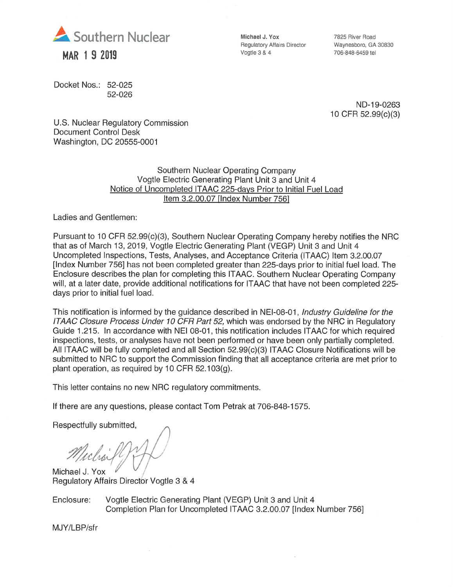

Docket Nos.: 52-025 52-026 Michael J. Yox Regulatory Affairs Director Vogtle 3 & 4

7825 River Road Waynesboro, GA 30830 706-848-6459 tel

ND-19-0263 10CFR 52.99(c)(3)

U.S. Nuclear Regulatory Commission Document Control Desk Washington, DC 20555-0001

> Southern Nuclear Operating Company Vogtle Electric Generating Plant Unit 3 and Unit 4 Notice of Uncompleted ITAAC 225-davs Prior to Initial Fuel Load Item 3.2.00.07 [Index Number 7561

Ladies and Gentlemen:

Pursuant to 10 CFR 52.99(c)(3), Southern Nuclear Operating Company hereby notifies the NRC that as of March 13, 2019, Vogtle Electric Generating Plant (VEGP) Unit 3 and Unit 4 Uncompleted Inspections, Tests, Analyses, and Acceptance Criteria (ITAAC) Item 3.2.00.07 [Index Number 756] has not been completed greater than 225-days prior to initial fuel load. The Enclosure describes the plan for completing this ITAAC. Southern Nuclear Operating Company will, at a later date, provide additional notifications for ITAAC that have not been completed 225 days prior to initial fuel load.

This notification is informed by the guidance described in NEI-08-01, Industry Guideline for the ITAAC Closure Process Under 10 CFR Part 52, which was endorsed by the NRC in Regulatory Guide 1.215. In accordance with NEI 08-01, this notification includes ITAAC for which required inspections, tests, or analyses have not been performed or have been only partially completed. All ITAAC will be fully completed and all Section 52.99(c)(3) ITAAC Closure Notifications will be submitted to NRC to support the Commission finding that all acceptance criteria are met prior to plant operation, as required by 10 CFR 52.103(g).

This letter contains no new NRC regulatory commitments.

If there are any questions, please contact Tom Petrak at 706-848-1575.

Respectfully submitted.

Michael J. Yox Regulatory Affairs Director Vogtle 3 & 4

Enclosure: Vogtle Electric Generating Plant (VEGP) Unit 3 and Unit 4 Completion Plan for Uncompleted ITAAC 3.2.00.07 [Index Number 756]

MJY/LBP/sfr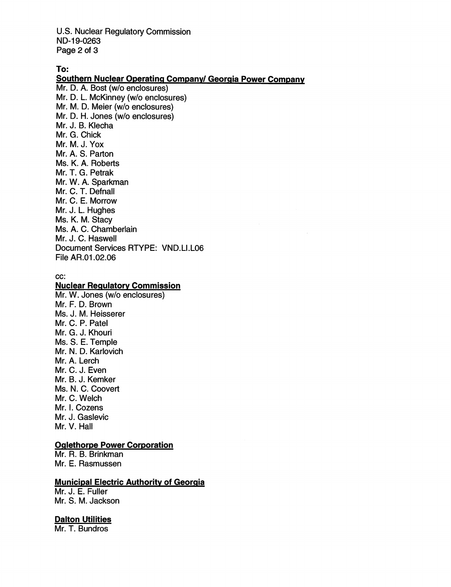U.S. Nuclear Regulatory Commission ND-19-0263 Page 2 of 3

To:

Southern Nuclear Operating Company/ Georgia Power Company Mr. D. A. Bost (w/o enclosures) Mr. D. L. McKinney (w/o enclosures) Mr. M. D. Meier (w/o enclosures) Mr. D. H. Jones (w/o enclosures) Mr. J. B. Klecha Mr. G. Chick Mr. M. J. Yox Mr. A. S. Parton Ms. K. A. Roberts Mr. T. G. Petrak Mr. W. A. Sparkman Mr. C. T. Defnall Mr. C. E. Morrow Mr. J. L. Hughes Ms. K. M. Stacy Ms. A. C. Chamberlain Mr. J. C. Haswell Document Services RTYPE: VND.LI.LOG File AR.01.02.06

cc;

## **Nuclear Regulatory Commission**

Mr. W. Jones (w/o enclosures) Mr. F. D. Brown Ms. J. M. Heisserer Mr. C. P. Patel Mr. G. J. Khouri Ms. S. E. Temple Mr. N. D. Karlovich Mr. A. Lerch Mr. C. J. Even Mr. B. J. Kemker Ms. N. C. Coovert Mr. C. Welch Mr. I. Cozens Mr. J. Gaslevic Mr. V. Hall

## Qqiethorpe Power Corporation

Mr. R. B. Brinkman Mr. E. Rasmussen

## Municipal Electric Authority of Georaia

Mr. J. E. Fuller Mr. S. M. Jackson

#### **Dalton Utilities**

Mr. T. Bundros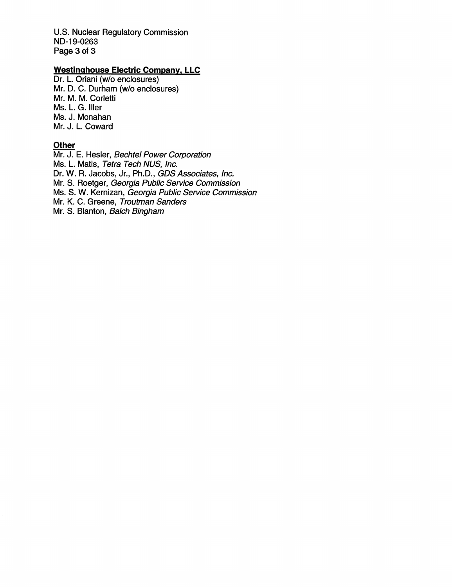U.S. Nuclear Regulatory Commission ND-19-0263 Page 3 of 3

# Westinahouse Electric Company. LLC

Dr. L. Oriani (w/o enclosures) Mr. D. C. Durham (w/o enclosures) Mr. M. M. Corletti Ms. L. G. Iller Ms. J. Monahan Mr. J. L. Coward

# **Other**

Mr. J. E. Hesler, Bechtel Power Corporation Ms. L. Matis, Tetra Tech NUS, Inc. Dr. W. R. Jacobs, Jr., Ph.D., GDS Associates, Inc. Mr. S. Roetger, Georgia Public Service Commission Ms. 8. W. Kernizan, Georgia Public Service Commission Mr. K. C. Greene, Troutman Sanders Mr. 8. Blanton, Baich Bingham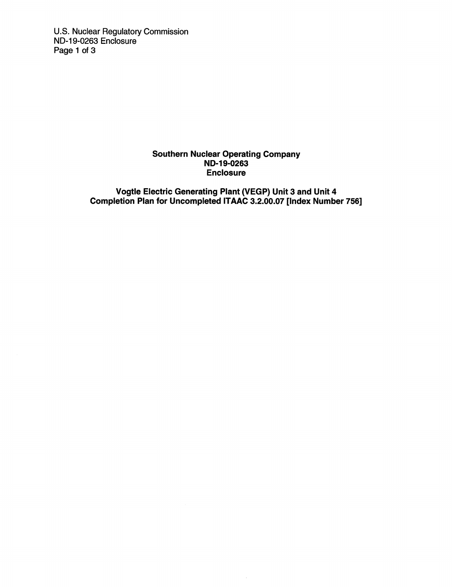U.S. Nuclear Regulatory Commission ND-19-0263 Enclosure Page 1 of 3

## Southern Nuclear Operating Company ND-19-0263 Enclosure

Vogtle Electric Generating Plant (VEGP) Unit 3 and Unit 4 Completion Plan for Uncompleted ITAAC 3.2.00.07 [Index Number 756]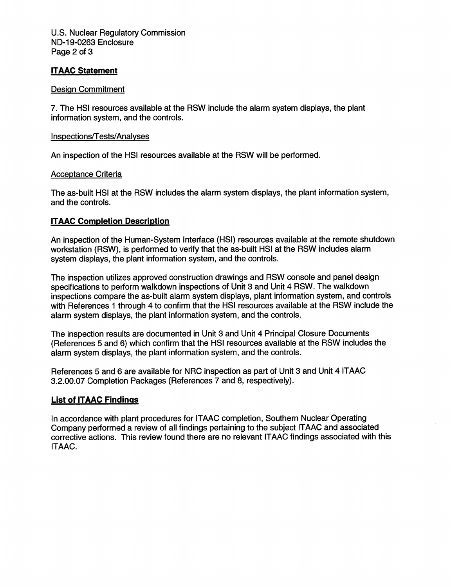U.S. Nuclear Regulatory Commission ND-19-0263 Enclosure Page 2 of 3

## ITAAC Statement

#### Design Commitment

7. The HSI resources available at the RSW include the alarm system displays, the plant information system, and the controls.

#### Insoections/T ests/Analvses

An inspection of the HSI resources available at the RSW will be performed.

#### Acceptance Criteria

The as-built HSI at the RSW includes the alarm system displays, the plant information system, and the controls.

### ITAAC Completion Description

An inspection of the Human-System Interface (HSI) resources available at the remote shutdown workstation (RSW), is performed to verify that the as-built HSI at the RSW includes alarm system displays, the plant information system, and the controls.

The inspection utilizes approved construction drawings and RSW console and panel design specifications to perform walkdown inspections of Unit 3 and Unit 4 RSW. The walkdown inspections compare the as-built alarm system displays, plant information system, and controls with References 1 through 4 to confirm that the HSI resources available at the RSW include the alarm system displays, the plant information system, and the controls.

The inspection results are documented in Unit 3 and Unit 4 Principal Closure Documents (References 5 and 6) which confirm that the HSI resources available at the RSW includes the alarm system displays, the plant information system, and the controls.

References 5 and 6 are available for NRG inspection as part of Unit 3 and Unit 4 ITAAC 3.2.00.07 Completion Packages (References 7 and 8, respectively).

#### List of ITAAC Findings

In accordance with plant procedures for ITAAC completion. Southern Nuclear Operating Company performed a review of all findings pertaining to the subject ITAAC and associated corrective actions. This review found there are no relevant ITAAC findings associated with this ITAAC.